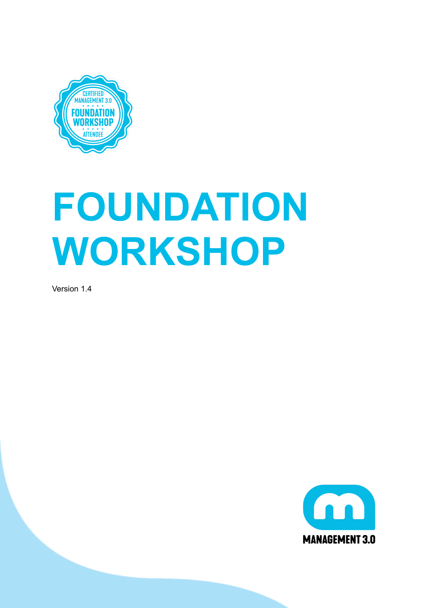

# **FOUNDATION WORKSHOP**

Version 1.4

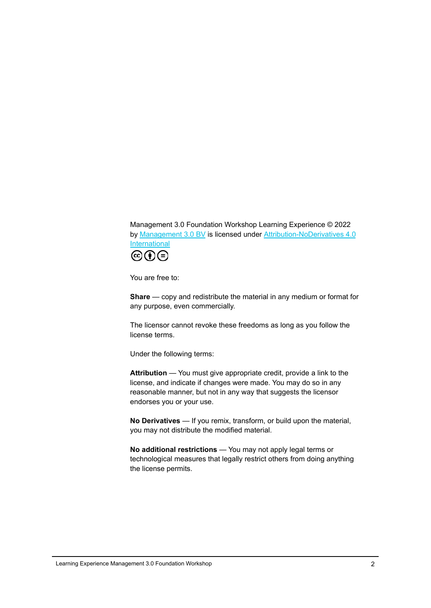Management 3.0 Foundation Workshop Learning Experience © 2022 by [Management](https://www.managment30.com/) 3.0 BV is licensed under [Attribution-NoDerivatives](http://creativecommons.org/licenses/by-nd/4.0/?ref=chooser-v1) 4.0 [International](http://creativecommons.org/licenses/by-nd/4.0/?ref=chooser-v1)



You are free to:

**Share** — copy and redistribute the material in any medium or format for any purpose, even commercially.

The licensor cannot revoke these freedoms as long as you follow the license terms.

Under the following terms:

**Attribution** — You must give appropriate credit, provide a link to the license, and indicate if changes were made. You may do so in any reasonable manner, but not in any way that suggests the licensor endorses you or your use.

**No Derivatives** — If you remix, transform, or build upon the material, you may not distribute the modified material.

<span id="page-1-0"></span>**No additional restrictions** — You may not apply legal terms or technological measures that legally restrict others from doing anything the license permits.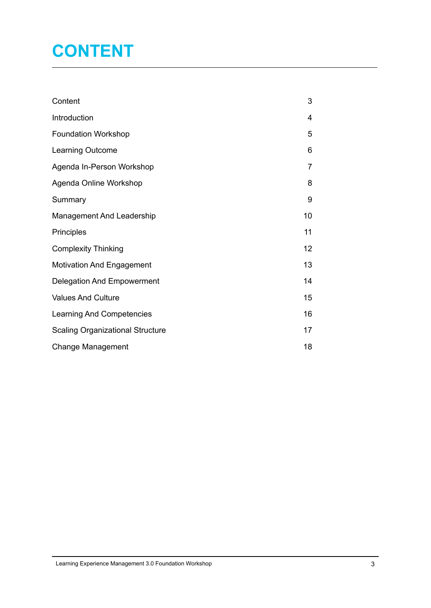# **CONTENT**

| Content                                 | 3  |
|-----------------------------------------|----|
| Introduction                            | 4  |
| <b>Foundation Workshop</b>              | 5  |
| Learning Outcome                        | 6  |
| Agenda In-Person Workshop               | 7  |
| Agenda Online Workshop                  | 8  |
| Summary                                 | 9  |
| <b>Management And Leadership</b>        | 10 |
| Principles                              | 11 |
| <b>Complexity Thinking</b>              | 12 |
| <b>Motivation And Engagement</b>        | 13 |
| <b>Delegation And Empowerment</b>       | 14 |
| <b>Values And Culture</b>               | 15 |
| Learning And Competencies               | 16 |
| <b>Scaling Organizational Structure</b> | 17 |
| <b>Change Management</b>                | 18 |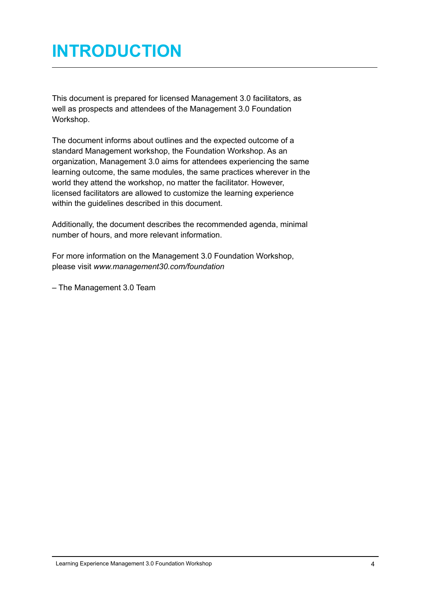### <span id="page-3-0"></span>**INTRODUCTION**

This document is prepared for licensed Management 3.0 facilitators, as well as prospects and attendees of the Management 3.0 Foundation Workshop.

The document informs about outlines and the expected outcome of a standard Management workshop, the Foundation Workshop. As an organization, Management 3.0 aims for attendees experiencing the same learning outcome, the same modules, the same practices wherever in the world they attend the workshop, no matter the facilitator. However, licensed facilitators are allowed to customize the learning experience within the guidelines described in this document.

Additionally, the document describes the recommended agenda, minimal number of hours, and more relevant information.

For more information on the Management 3.0 Foundation Workshop, please visit *www.management30.com/foundation*

<span id="page-3-1"></span>– The Management 3.0 Team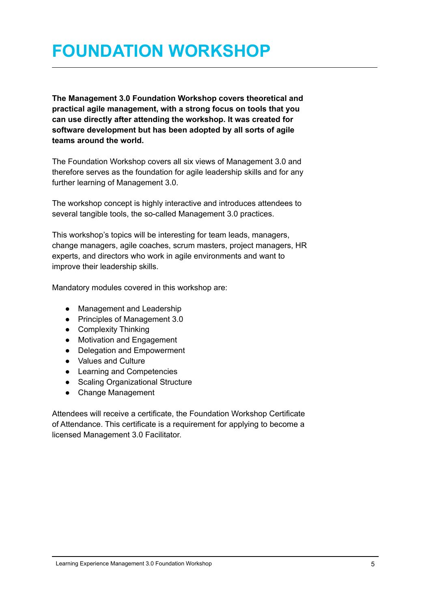### **FOUNDATION WORKSHOP**

**The Management 3.0 Foundation Workshop covers theoretical and practical agile management, with a strong focus on tools that you can use directly after attending the workshop. It was created for software development but has been adopted by all sorts of agile teams around the world.**

The Foundation Workshop covers all six views of Management 3.0 and therefore serves as the foundation for agile leadership skills and for any further learning of Management 3.0.

The workshop concept is highly interactive and introduces attendees to several tangible tools, the so-called Management 3.0 practices.

This workshop's topics will be interesting for team leads, managers, change managers, agile coaches, scrum masters, project managers, HR experts, and directors who work in agile environments and want to improve their leadership skills.

Mandatory modules covered in this workshop are:

- Management and Leadership
- Principles of Management 3.0
- Complexity Thinking
- Motivation and Engagement
- Delegation and Empowerment
- Values and Culture
- Learning and Competencies
- Scaling Organizational Structure
- Change Management

Attendees will receive a certificate, the Foundation Workshop Certificate of Attendance. This certificate is a requirement for applying to become a licensed Management 3.0 Facilitator.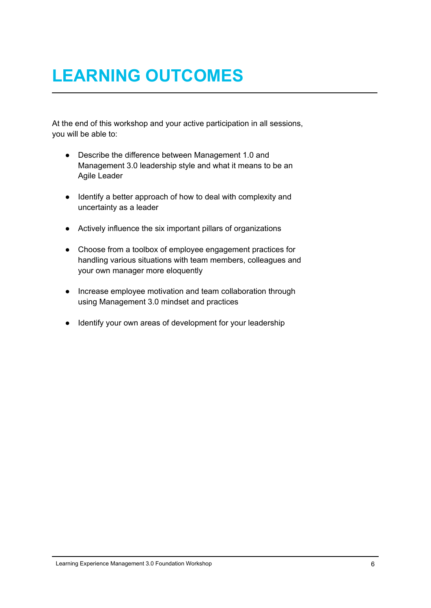# <span id="page-5-0"></span>**LEARNING OUTCOMES**

At the end of this workshop and your active participation in all sessions, you will be able to:

- Describe the difference between Management 1.0 and Management 3.0 leadership style and what it means to be an Agile Leader
- Identify a better approach of how to deal with complexity and uncertainty as a leader
- Actively influence the six important pillars of organizations
- Choose from a toolbox of employee engagement practices for handling various situations with team members, colleagues and your own manager more eloquently
- Increase employee motivation and team collaboration through using Management 3.0 mindset and practices
- Identify your own areas of development for your leadership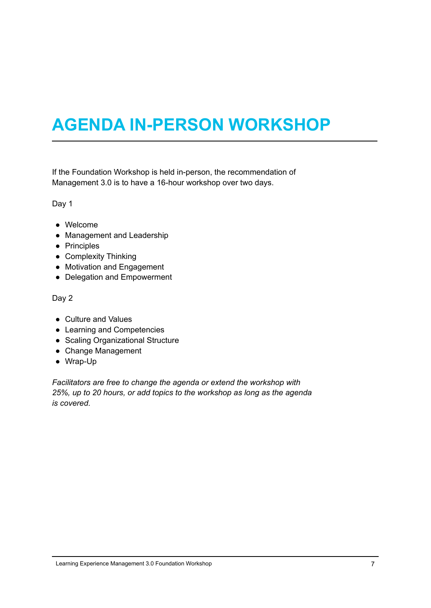# <span id="page-6-0"></span>**AGENDA IN-PERSON WORKSHOP**

If the Foundation Workshop is held in-person, the recommendation of Management 3.0 is to have a 16-hour workshop over two days.

Day 1

- Welcome
- Management and Leadership
- Principles
- Complexity Thinking
- Motivation and Engagement
- Delegation and Empowerment

Day 2

- Culture and Values
- Learning and Competencies
- Scaling Organizational Structure
- Change Management
- Wrap-Up

*Facilitators are free to change the agenda or extend the workshop with 25%, up to 20 hours, or add topics to the workshop as long as the agenda is covered.*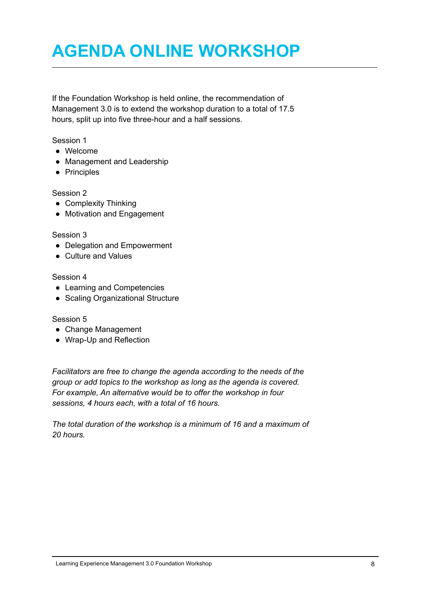### <span id="page-7-0"></span>**AGENDA ONLINE WORKSHOP**

If the Foundation Workshop is held online, the recommendation of Management 3.0 is to extend the workshop duration to a total of 17.5 hours, split up into five three-hour and a half sessions.

Session 1

- Welcome
- Management and Leadership
- Principles

Session 2

- Complexity Thinking
- Motivation and Engagement

#### Session 3

- Delegation and Empowerment
- Culture and Values

#### Session 4

- Learning and Competencies
- Scaling Organizational Structure

Session 5

- Change Management
- Wrap-Up and Reflection

*Facilitators are free to change the agenda according to the needs of the group or add topics to the workshop as long as the agenda is covered. For example, An alternative would be to offer the workshop in four sessions, 4 hours each, with a total of 16 hours.*

*The total duration of the workshop is a minimum of 16 and a maximum of 20 hours.*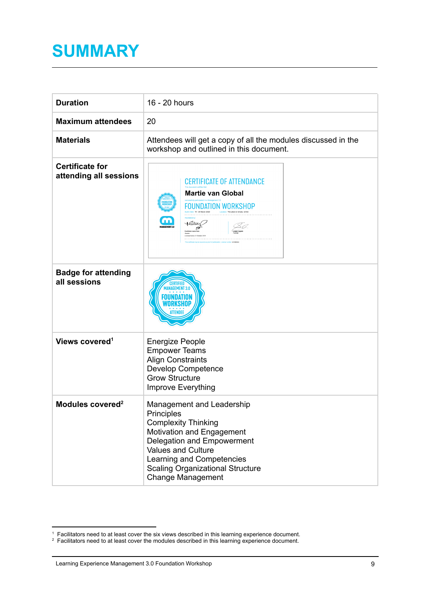### <span id="page-8-0"></span>**SUMMARY**

| <b>Duration</b>                                  | 16 - 20 hours                                                                                                                                                                                                                                                     |
|--------------------------------------------------|-------------------------------------------------------------------------------------------------------------------------------------------------------------------------------------------------------------------------------------------------------------------|
| <b>Maximum attendees</b>                         | 20                                                                                                                                                                                                                                                                |
| <b>Materials</b>                                 | Attendees will get a copy of all the modules discussed in the<br>workshop and outlined in this document.                                                                                                                                                          |
| <b>Certificate for</b><br>attending all sessions | <b>CERTIFICATE OF ATTENDANCE</b><br><b>Martie van Global</b><br>FOUNDATION WORKSHOP<br>m<br>Pilley<br>- A O.<br><b>ANAGEMENT 3.0</b>                                                                                                                              |
| <b>Badge for attending</b><br>all sessions       | AGEMENT 3.0                                                                                                                                                                                                                                                       |
| Views covered <sup>1</sup>                       | <b>Energize People</b><br><b>Empower Teams</b><br><b>Align Constraints</b><br><b>Develop Competence</b><br><b>Grow Structure</b><br>Improve Everything                                                                                                            |
| Modules covered <sup>2</sup>                     | Management and Leadership<br><b>Principles</b><br><b>Complexity Thinking</b><br>Motivation and Engagement<br>Delegation and Empowerment<br>Values and Culture<br>Learning and Competencies<br><b>Scaling Organizational Structure</b><br><b>Change Management</b> |

<sup>&</sup>lt;sup>1</sup> Facilitators need to at least cover the six views described in this learning experience document.

 $2$  Facilitators need to at least cover the modules described in this learning experience document.

Learning Experience Management 3.0 Foundation Workshop 9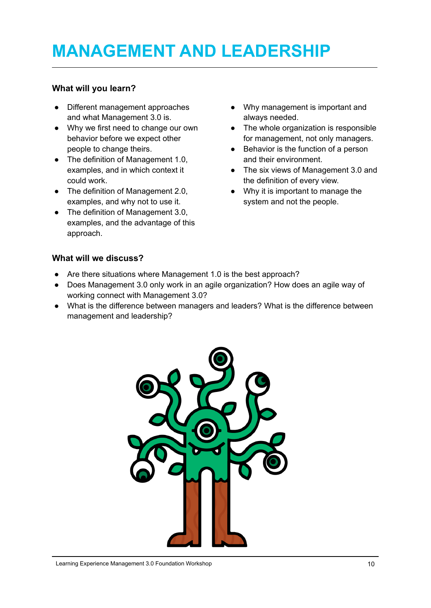# <span id="page-9-0"></span>**MANAGEMENT AND LEADERSHIP**

#### **What will you learn?**

- Different management approaches and what Management 3.0 is.
- Why we first need to change our own behavior before we expect other people to change theirs.
- The definition of Management 1.0, examples, and in which context it could work.
- The definition of Management 2.0, examples, and why not to use it.
- The definition of Management 3.0, examples, and the advantage of this approach.
- Why management is important and always needed.
- The whole organization is responsible for management, not only managers.
- Behavior is the function of a person and their environment.
- The six views of Management 3.0 and the definition of every view.
- Why it is important to manage the system and not the people.

#### **What will we discuss?**

- Are there situations where Management 1.0 is the best approach?
- Does Management 3.0 only work in an agile organization? How does an agile way of working connect with Management 3.0?
- What is the difference between managers and leaders? What is the difference between management and leadership?

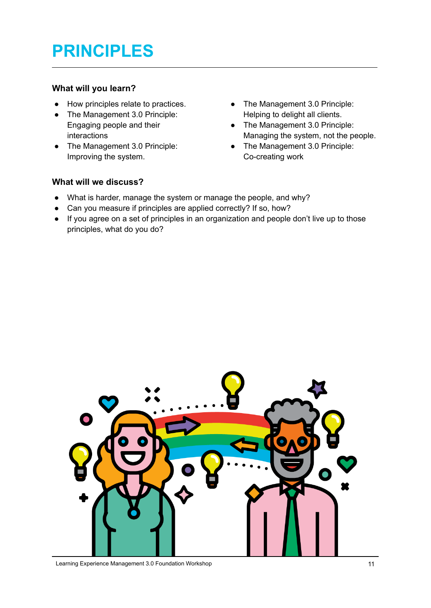## <span id="page-10-0"></span>**PRINCIPLES**

#### **What will you learn?**

- How principles relate to practices.
- The Management 3.0 Principle: Engaging people and their interactions
- The Management 3.0 Principle: Improving the system.
- The Management 3.0 Principle: Helping to delight all clients.
- The Management 3.0 Principle: Managing the system, not the people.
- The Management 3.0 Principle: Co-creating work

#### **What will we discuss?**

- What is harder, manage the system or manage the people, and why?
- Can you measure if principles are applied correctly? If so, how?
- If you agree on a set of principles in an organization and people don't live up to those principles, what do you do?



Learning Experience Management 3.0 Foundation Workshop 11 11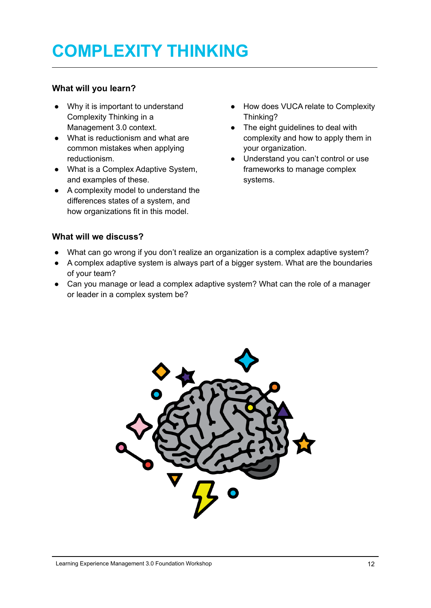# <span id="page-11-0"></span>**COMPLEXITY THINKING**

#### **What will you learn?**

- Why it is important to understand Complexity Thinking in a Management 3.0 context.
- What is reductionism and what are common mistakes when applying reductionism.
- What is a Complex Adaptive System, and examples of these.
- A complexity model to understand the differences states of a system, and how organizations fit in this model.
- How does VUCA relate to Complexity Thinking?
- The eight guidelines to deal with complexity and how to apply them in your organization.
- Understand you can't control or use frameworks to manage complex systems.

#### **What will we discuss?**

- What can go wrong if you don't realize an organization is a complex adaptive system?
- A complex adaptive system is always part of a bigger system. What are the boundaries of your team?
- Can you manage or lead a complex adaptive system? What can the role of a manager or leader in a complex system be?

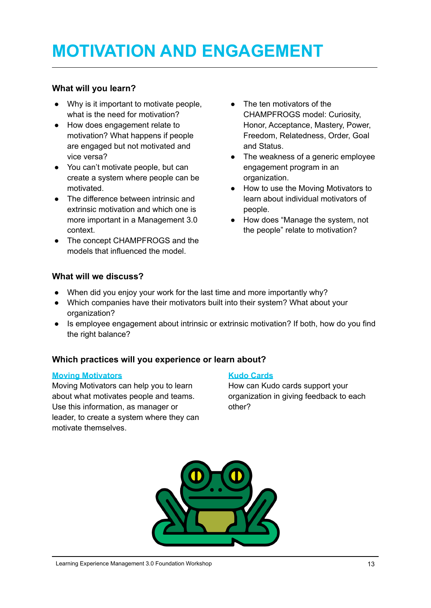# <span id="page-12-0"></span>**MOTIVATION AND ENGAGEMENT**

#### **What will you learn?**

- Why is it important to motivate people, what is the need for motivation?
- How does engagement relate to motivation? What happens if people are engaged but not motivated and vice versa?
- You can't motivate people, but can create a system where people can be motivated.
- The difference between intrinsic and extrinsic motivation and which one is more important in a Management 3.0 context.
- The concept CHAMPFROGS and the models that influenced the model.
- The ten motivators of the CHAMPFROGS model: Curiosity, Honor, Acceptance, Mastery, Power, Freedom, Relatedness, Order, Goal and Status.
- The weakness of a generic employee engagement program in an organization.
- How to use the Moving Motivators to learn about individual motivators of people.
- How does "Manage the system, not the people" relate to motivation?

#### **What will we discuss?**

- When did you enjoy your work for the last time and more importantly why?
- Which companies have their motivators built into their system? What about your organization?
- Is employee engagement about intrinsic or extrinsic motivation? If both, how do you find the right balance?

#### **Which practices will you experience or learn about?**

#### **Moving [Motivators](https://management30.com/practice/moving-motivators/)**

Moving Motivators can help you to learn about what motivates people and teams. Use this information, as manager or leader, to create a system where they can motivate themselves.

#### **Kudo [Cards](https://management30.com/practice/kudo-cards/)**

How can Kudo cards support your organization in giving feedback to each other?

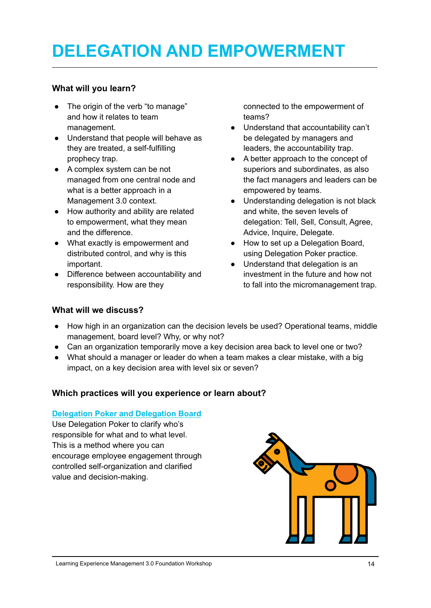# <span id="page-13-0"></span>**DELEGATION AND EMPOWERMENT**

#### **What will you learn?**

- The origin of the verb "to manage" and how it relates to team management.
- Understand that people will behave as they are treated, a self-fulfilling prophecy trap.
- A complex system can be not managed from one central node and what is a better approach in a Management 3.0 context.
- How authority and ability are related to empowerment, what they mean and the difference.
- What exactly is empowerment and distributed control, and why is this important.
- Difference between accountability and responsibility. How are they

connected to the empowerment of teams?

- Understand that accountability can't be delegated by managers and leaders, the accountability trap.
- A better approach to the concept of superiors and subordinates, as also the fact managers and leaders can be empowered by teams.
- Understanding delegation is not black and white, the seven levels of delegation: Tell, Sell, Consult, Agree, Advice, Inquire, Delegate.
- How to set up a Delegation Board, using Delegation Poker practice.
- Understand that delegation is an investment in the future and how not to fall into the micromanagement trap.

#### **What will we discuss?**

- How high in an organization can the decision levels be used? Operational teams, middle management, board level? Why, or why not?
- Can an organization temporarily move a key decision area back to level one or two?
- What should a manager or leader do when a team makes a clear mistake, with a big impact, on a key decision area with level six or seven?

#### **Which practices will you experience or learn about?**

#### **[Delegation](https://management30.com/practice/delegation-poker/) Poker and Delegation Board**

Use Delegation Poker to clarify who's responsible for what and to what level. This is a method where you can encourage employee engagement through controlled self-organization and clarified value and decision-making.

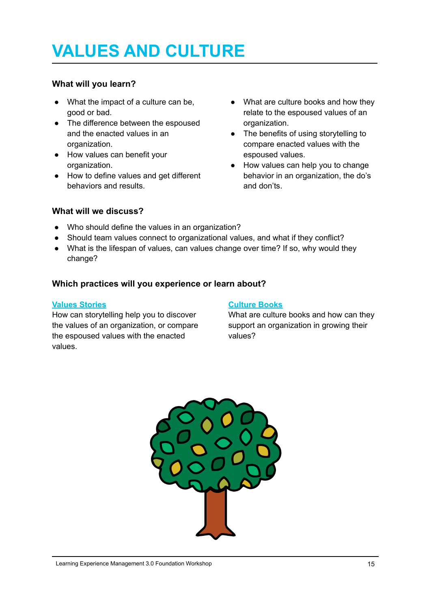# <span id="page-14-0"></span>**VALUES AND CULTURE**

#### **What will you learn?**

- What the impact of a culture can be, good or bad.
- The difference between the espoused and the enacted values in an organization.
- How values can benefit your organization.
- How to define values and get different behaviors and results.
- What are culture books and how they relate to the espoused values of an organization.
- The benefits of using storytelling to compare enacted values with the espoused values.
- How values can help you to change behavior in an organization, the do's and don'ts.

#### **What will we discuss?**

- Who should define the values in an organization?
- Should team values connect to organizational values, and what if they conflict?
- What is the lifespan of values, can values change over time? If so, why would they change?

#### **Which practices will you experience or learn about?**

#### **Values [Stories](https://management30.com/practice/value-stories/)**

How can storytelling help you to discover the values of an organization, or compare the espoused values with the enacted values.

#### **[Culture](https://management30.com/practice/culture-books/) Books**

What are culture books and how can they support an organization in growing their values?

<span id="page-14-1"></span>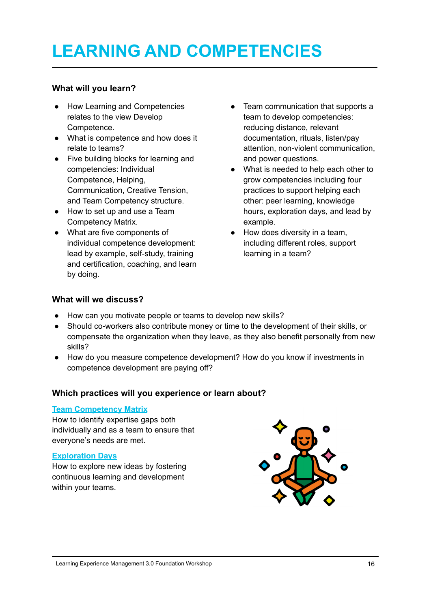# **LEARNING AND COMPETENCIES**

#### **What will you learn?**

- How Learning and Competencies relates to the view Develop Competence.
- What is competence and how does it relate to teams?
- Five building blocks for learning and competencies: Individual Competence, Helping, Communication, Creative Tension, and Team Competency structure.
- How to set up and use a Team Competency Matrix.
- What are five components of individual competence development: lead by example, self-study, training and certification, coaching, and learn by doing.
- Team communication that supports a team to develop competencies: reducing distance, relevant documentation, rituals, listen/pay attention, non-violent communication, and power questions.
- What is needed to help each other to grow competencies including four practices to support helping each other: peer learning, knowledge hours, exploration days, and lead by example.
- How does diversity in a team, including different roles, support learning in a team?

#### **What will we discuss?**

- How can you motivate people or teams to develop new skills?
- Should co-workers also contribute money or time to the development of their skills, or compensate the organization when they leave, as they also benefit personally from new skills?
- How do you measure competence development? How do you know if investments in competence development are paying off?

#### **Which practices will you experience or learn about?**

#### **Team [Competency](https://management30.com/practice/competency-matrix/) Matrix**

How to identify expertise gaps both individually and as a team to ensure that everyone's needs are met.

#### **[Exploration](https://management30.com/practice/exploration-days/) Days**

How to explore new ideas by fostering continuous learning and development within your teams.

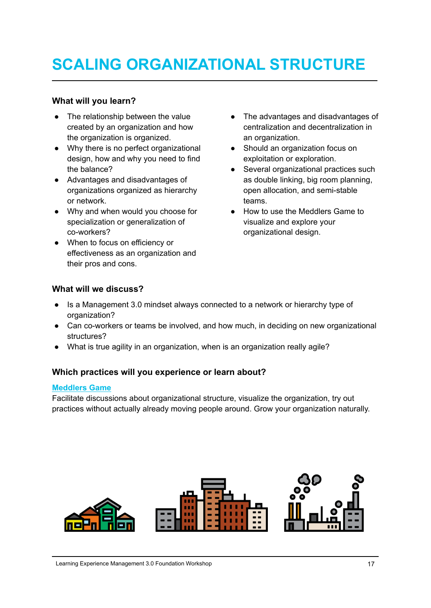### <span id="page-16-0"></span>**SCALING ORGANIZATIONAL STRUCTURE**

#### **What will you learn?**

- The relationship between the value created by an organization and how the organization is organized.
- Why there is no perfect organizational design, how and why you need to find the balance?
- Advantages and disadvantages of organizations organized as hierarchy or network.
- Why and when would you choose for specialization or generalization of co-workers?
- When to focus on efficiency or effectiveness as an organization and their pros and cons.
- The advantages and disadvantages of centralization and decentralization in an organization.
- Should an organization focus on exploitation or exploration.
- Several organizational practices such as double linking, big room planning, open allocation, and semi-stable teams.
- How to use the Meddlers Game to visualize and explore your organizational design.

#### **What will we discuss?**

- Is a Management 3.0 mindset always connected to a network or hierarchy type of organization?
- Can co-workers or teams be involved, and how much, in deciding on new organizational structures?
- What is true agility in an organization, when is an organization really agile?

#### **Which practices will you experience or learn about?**

#### **[Meddlers](https://management30.com/practice/meddlers/) Game**

Facilitate discussions about organizational structure, visualize the organization, try out practices without actually already moving people around. Grow your organization naturally.